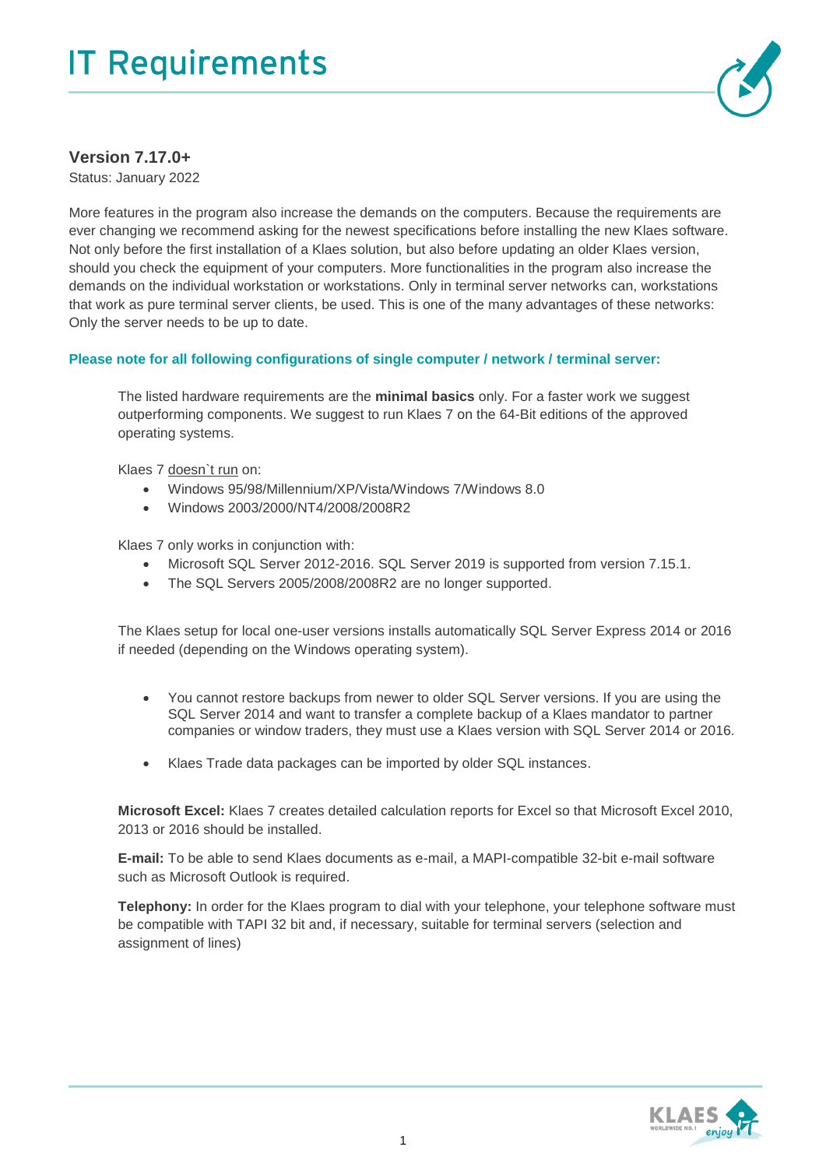

## **Version 7.17.0+**

Status: January 2022

More features in the program also increase the demands on the computers. Because the requirements are ever changing we recommend asking for the newest specifications before installing the new Klaes software. Not only before the first installation of a Klaes solution, but also before updating an older Klaes version, should you check the equipment of your computers. More functionalities in the program also increase the demands on the individual workstation or workstations. Only in terminal server networks can, workstations that work as pure terminal server clients, be used. This is one of the many advantages of these networks: Only the server needs to be up to date.

## **Please note for all following configurations of single computer / network / terminal server:**

The listed hardware requirements are the **minimal basics** only. For a faster work we suggest outperforming components. We suggest to run Klaes 7 on the 64-Bit editions of the approved operating systems.

Klaes 7 doesn't run on:

- Windows 95/98/Millennium/XP/Vista/Windows 7/Windows 8.0
- Windows 2003/2000/NT4/2008/2008R2

Klaes 7 only works in conjunction with:

- Microsoft SQL Server 2012-2016. SQL Server 2019 is supported from version 7.15.1.
- The SQL Servers 2005/2008/2008R2 are no longer supported.

The Klaes setup for local one-user versions installs automatically SQL Server Express 2014 or 2016 if needed (depending on the Windows operating system).

- You cannot restore backups from newer to older SQL Server versions. If you are using the SQL Server 2014 and want to transfer a complete backup of a Klaes mandator to partner companies or window traders, they must use a Klaes version with SQL Server 2014 or 2016.
- Klaes Trade data packages can be imported by older SQL instances.

**Microsoft Excel:** Klaes 7 creates detailed calculation reports for Excel so that Microsoft Excel 2010, 2013 or 2016 should be installed.

**E-mail:** To be able to send Klaes documents as e-mail, a MAPI-compatible 32-bit e-mail software such as Microsoft Outlook is required.

**Telephony:** In order for the Klaes program to dial with your telephone, your telephone software must be compatible with TAPI 32 bit and, if necessary, suitable for terminal servers (selection and assignment of lines)

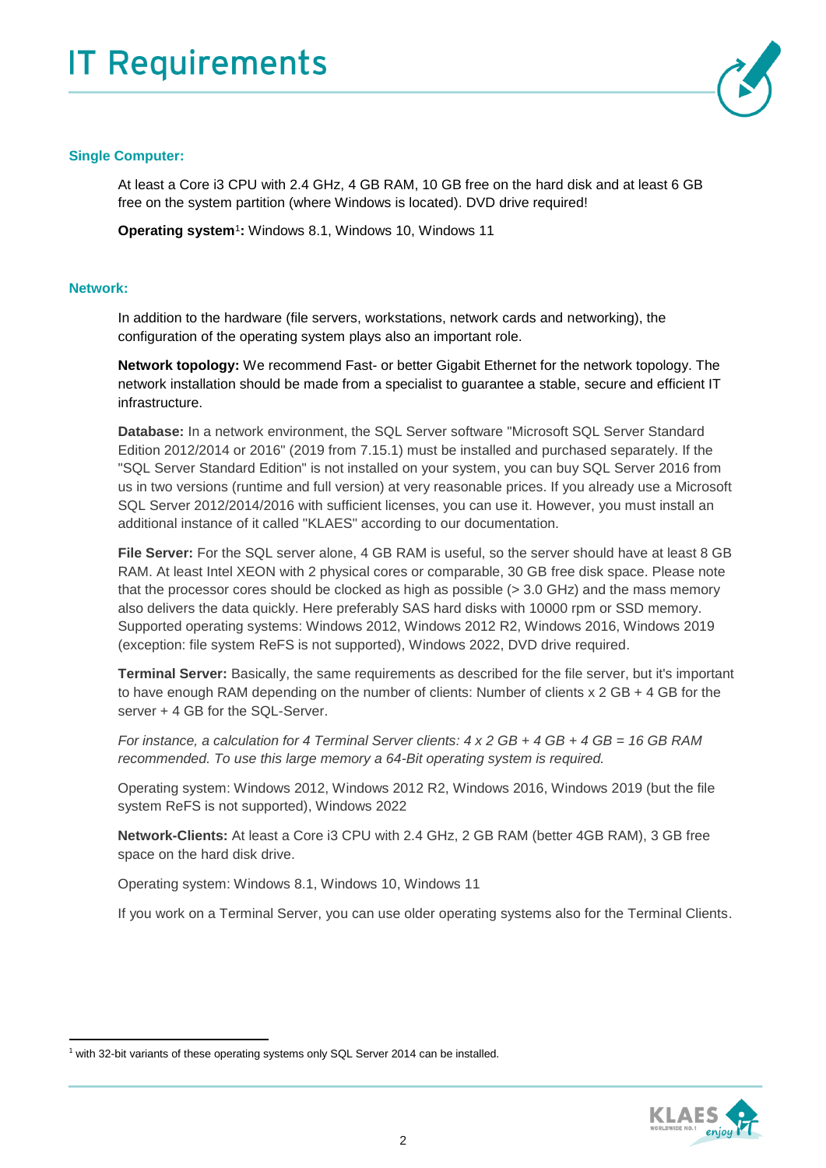

## **Single Computer:**

At least a Core i3 CPU with 2.4 GHz, 4 GB RAM, 10 GB free on the hard disk and at least 6 GB free on the system partition (where Windows is located). DVD drive required!

**Operating system**<sup>1</sup> **:** Windows 8.1, Windows 10, Windows 11

## **Network:**

 $\overline{a}$ 

In addition to the hardware (file servers, workstations, network cards and networking), the configuration of the operating system plays also an important role.

**Network topology:** We recommend Fast- or better Gigabit Ethernet for the network topology. The network installation should be made from a specialist to guarantee a stable, secure and efficient IT infrastructure.

**Database:** In a network environment, the SQL Server software "Microsoft SQL Server Standard Edition 2012/2014 or 2016" (2019 from 7.15.1) must be installed and purchased separately. If the "SQL Server Standard Edition" is not installed on your system, you can buy SQL Server 2016 from us in two versions (runtime and full version) at very reasonable prices. If you already use a Microsoft SQL Server 2012/2014/2016 with sufficient licenses, you can use it. However, you must install an additional instance of it called "KLAES" according to our documentation.

**File Server:** For the SQL server alone, 4 GB RAM is useful, so the server should have at least 8 GB RAM. At least Intel XEON with 2 physical cores or comparable, 30 GB free disk space. Please note that the processor cores should be clocked as high as possible (> 3.0 GHz) and the mass memory also delivers the data quickly. Here preferably SAS hard disks with 10000 rpm or SSD memory. Supported operating systems: Windows 2012, Windows 2012 R2, Windows 2016, Windows 2019 (exception: file system ReFS is not supported), Windows 2022, DVD drive required.

**Terminal Server:** Basically, the same requirements as described for the file server, but it's important to have enough RAM depending on the number of clients: Number of clients x 2 GB + 4 GB for the server + 4 GB for the SQL-Server.

*For instance, a calculation for 4 Terminal Server clients: 4 x 2 GB + 4 GB + 4 GB = 16 GB RAM recommended. To use this large memory a 64-Bit operating system is required.*

Operating system: Windows 2012, Windows 2012 R2, Windows 2016, Windows 2019 (but the file system ReFS is not supported), Windows 2022

**Network-Clients:** At least a Core i3 CPU with 2.4 GHz, 2 GB RAM (better 4GB RAM), 3 GB free space on the hard disk drive.

Operating system: Windows 8.1, Windows 10, Windows 11

If you work on a Terminal Server, you can use older operating systems also for the Terminal Clients.



<sup>&</sup>lt;sup>1</sup> with 32-bit variants of these operating systems only SQL Server 2014 can be installed.